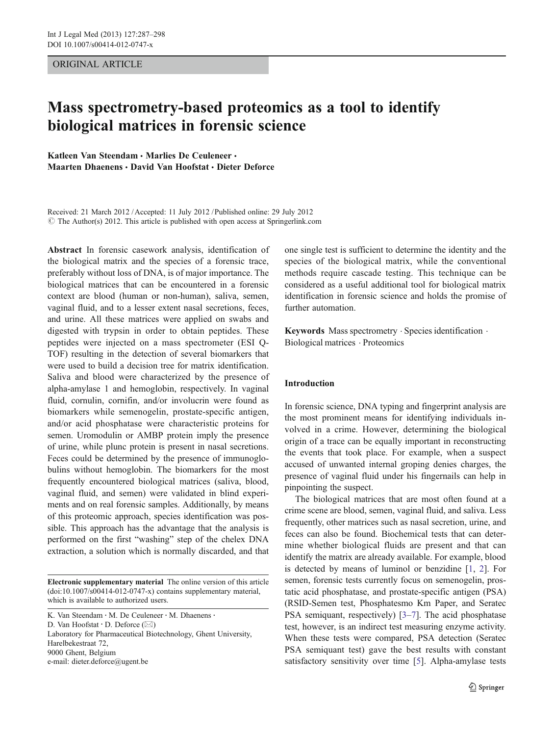# ORIGINAL ARTICLE

# Mass spectrometry-based proteomics as a tool to identify biological matrices in forensic science

Katleen Van Steendam • Marlies De Ceuleneer • Maarten Dhaenens • David Van Hoofstat • Dieter Deforce

Received: 21 March 2012 /Accepted: 11 July 2012 / Published online: 29 July 2012  $\odot$  The Author(s) 2012. This article is published with open access at Springerlink.com

Abstract In forensic casework analysis, identification of the biological matrix and the species of a forensic trace, preferably without loss of DNA, is of major importance. The biological matrices that can be encountered in a forensic context are blood (human or non-human), saliva, semen, vaginal fluid, and to a lesser extent nasal secretions, feces, and urine. All these matrices were applied on swabs and digested with trypsin in order to obtain peptides. These peptides were injected on a mass spectrometer (ESI Q-TOF) resulting in the detection of several biomarkers that were used to build a decision tree for matrix identification. Saliva and blood were characterized by the presence of alpha-amylase 1 and hemoglobin, respectively. In vaginal fluid, cornulin, cornifin, and/or involucrin were found as biomarkers while semenogelin, prostate-specific antigen, and/or acid phosphatase were characteristic proteins for semen. Uromodulin or AMBP protein imply the presence of urine, while plunc protein is present in nasal secretions. Feces could be determined by the presence of immunoglobulins without hemoglobin. The biomarkers for the most frequently encountered biological matrices (saliva, blood, vaginal fluid, and semen) were validated in blind experiments and on real forensic samples. Additionally, by means of this proteomic approach, species identification was possible. This approach has the advantage that the analysis is performed on the first "washing" step of the chelex DNA extraction, a solution which is normally discarded, and that

Electronic supplementary material The online version of this article  $(doi:10.1007/s00414-012-0747-x)$  $(doi:10.1007/s00414-012-0747-x)$  $(doi:10.1007/s00414-012-0747-x)$  contains supplementary material, which is available to authorized users.

D. Van Hoofstat  $\cdot$  D. Deforce ( $\boxtimes$ )

Laboratory for Pharmaceutical Biotechnology, Ghent University, Harelbekestraat 72, 9000 Ghent, Belgium e-mail: dieter.deforce@ugent.be

one single test is sufficient to determine the identity and the species of the biological matrix, while the conventional methods require cascade testing. This technique can be considered as a useful additional tool for biological matrix identification in forensic science and holds the promise of further automation.

Keywords Mass spectrometry . Species identification . Biological matrices . Proteomics

# Introduction

In forensic science, DNA typing and fingerprint analysis are the most prominent means for identifying individuals involved in a crime. However, determining the biological origin of a trace can be equally important in reconstructing the events that took place. For example, when a suspect accused of unwanted internal groping denies charges, the presence of vaginal fluid under his fingernails can help in pinpointing the suspect.

The biological matrices that are most often found at a crime scene are blood, semen, vaginal fluid, and saliva. Less frequently, other matrices such as nasal secretion, urine, and feces can also be found. Biochemical tests that can determine whether biological fluids are present and that can identify the matrix are already available. For example, blood is detected by means of luminol or benzidine [[1,](#page-9-0) [2\]](#page-9-0). For semen, forensic tests currently focus on semenogelin, prostatic acid phosphatase, and prostate-specific antigen (PSA) (RSID-Semen test, Phosphatesmo Km Paper, and Seratec PSA semiquant, respectively) [\[3](#page-10-0)–[7](#page-10-0)]. The acid phosphatase test, however, is an indirect test measuring enzyme activity. When these tests were compared, PSA detection (Seratec PSA semiquant test) gave the best results with constant satisfactory sensitivity over time [[5\]](#page-10-0). Alpha-amylase tests

K. Van Steendam · M. De Ceuleneer · M. Dhaenens ·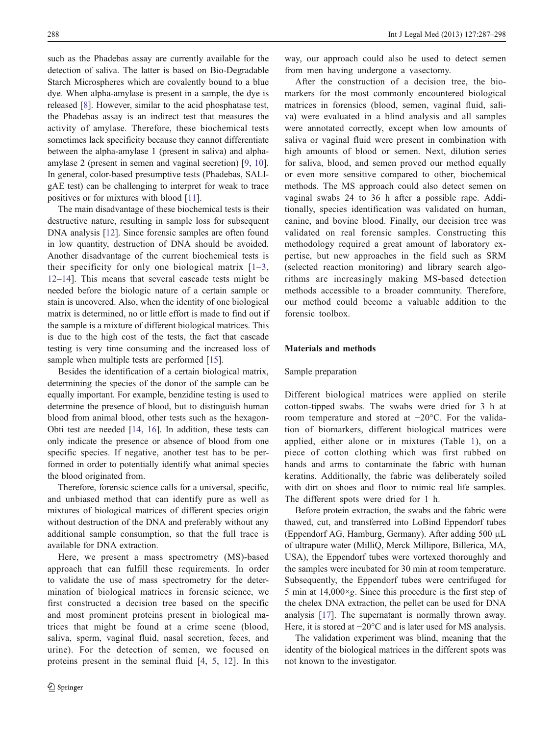<span id="page-1-0"></span>such as the Phadebas assay are currently available for the detection of saliva. The latter is based on Bio-Degradable Starch Microspheres which are covalently bound to a blue dye. When alpha-amylase is present in a sample, the dye is released [[8\]](#page-10-0). However, similar to the acid phosphatase test, the Phadebas assay is an indirect test that measures the activity of amylase. Therefore, these biochemical tests sometimes lack specificity because they cannot differentiate between the alpha-amylase 1 (present in saliva) and alphaamylase 2 (present in semen and vaginal secretion) [[9,](#page-10-0) [10](#page-10-0)]. In general, color-based presumptive tests (Phadebas, SALIgAE test) can be challenging to interpret for weak to trace positives or for mixtures with blood [[11](#page-10-0)].

The main disadvantage of these biochemical tests is their destructive nature, resulting in sample loss for subsequent DNA analysis [[12\]](#page-10-0). Since forensic samples are often found in low quantity, destruction of DNA should be avoided. Another disadvantage of the current biochemical tests is their specificity for only one biological matrix  $[1-3, 1]$  $[1-3, 1]$  $[1-3, 1]$  $[1-3, 1]$  $[1-3, 1]$ [12](#page-10-0)–[14](#page-10-0)]. This means that several cascade tests might be needed before the biologic nature of a certain sample or stain is uncovered. Also, when the identity of one biological matrix is determined, no or little effort is made to find out if the sample is a mixture of different biological matrices. This is due to the high cost of the tests, the fact that cascade testing is very time consuming and the increased loss of sample when multiple tests are performed [[15\]](#page-10-0).

Besides the identification of a certain biological matrix, determining the species of the donor of the sample can be equally important. For example, benzidine testing is used to determine the presence of blood, but to distinguish human blood from animal blood, other tests such as the hexagon-Obti test are needed [[14,](#page-10-0) [16](#page-10-0)]. In addition, these tests can only indicate the presence or absence of blood from one specific species. If negative, another test has to be performed in order to potentially identify what animal species the blood originated from.

Therefore, forensic science calls for a universal, specific, and unbiased method that can identify pure as well as mixtures of biological matrices of different species origin without destruction of the DNA and preferably without any additional sample consumption, so that the full trace is available for DNA extraction.

Here, we present a mass spectrometry (MS)-based approach that can fulfill these requirements. In order to validate the use of mass spectrometry for the determination of biological matrices in forensic science, we first constructed a decision tree based on the specific and most prominent proteins present in biological matrices that might be found at a crime scene (blood, saliva, sperm, vaginal fluid, nasal secretion, feces, and urine). For the detection of semen, we focused on proteins present in the seminal fluid [[4,](#page-10-0) [5](#page-10-0), [12\]](#page-10-0). In this way, our approach could also be used to detect semen from men having undergone a vasectomy.

After the construction of a decision tree, the biomarkers for the most commonly encountered biological matrices in forensics (blood, semen, vaginal fluid, saliva) were evaluated in a blind analysis and all samples were annotated correctly, except when low amounts of saliva or vaginal fluid were present in combination with high amounts of blood or semen. Next, dilution series for saliva, blood, and semen proved our method equally or even more sensitive compared to other, biochemical methods. The MS approach could also detect semen on vaginal swabs 24 to 36 h after a possible rape. Additionally, species identification was validated on human, canine, and bovine blood. Finally, our decision tree was validated on real forensic samples. Constructing this methodology required a great amount of laboratory expertise, but new approaches in the field such as SRM (selected reaction monitoring) and library search algorithms are increasingly making MS-based detection methods accessible to a broader community. Therefore, our method could become a valuable addition to the forensic toolbox.

# Materials and methods

#### Sample preparation

Different biological matrices were applied on sterile cotton-tipped swabs. The swabs were dried for 3 h at room temperature and stored at −20°C. For the validation of biomarkers, different biological matrices were applied, either alone or in mixtures (Table [1](#page-2-0)), on a piece of cotton clothing which was first rubbed on hands and arms to contaminate the fabric with human keratins. Additionally, the fabric was deliberately soiled with dirt on shoes and floor to mimic real life samples. The different spots were dried for 1 h.

Before protein extraction, the swabs and the fabric were thawed, cut, and transferred into LoBind Eppendorf tubes (Eppendorf AG, Hamburg, Germany). After adding 500 μL of ultrapure water (MilliQ, Merck Millipore, Billerica, MA, USA), the Eppendorf tubes were vortexed thoroughly and the samples were incubated for 30 min at room temperature. Subsequently, the Eppendorf tubes were centrifuged for 5 min at  $14,000 \times g$ . Since this procedure is the first step of the chelex DNA extraction, the pellet can be used for DNA analysis [[17](#page-10-0)]. The supernatant is normally thrown away. Here, it is stored at −20°C and is later used for MS analysis.

The validation experiment was blind, meaning that the identity of the biological matrices in the different spots was not known to the investigator.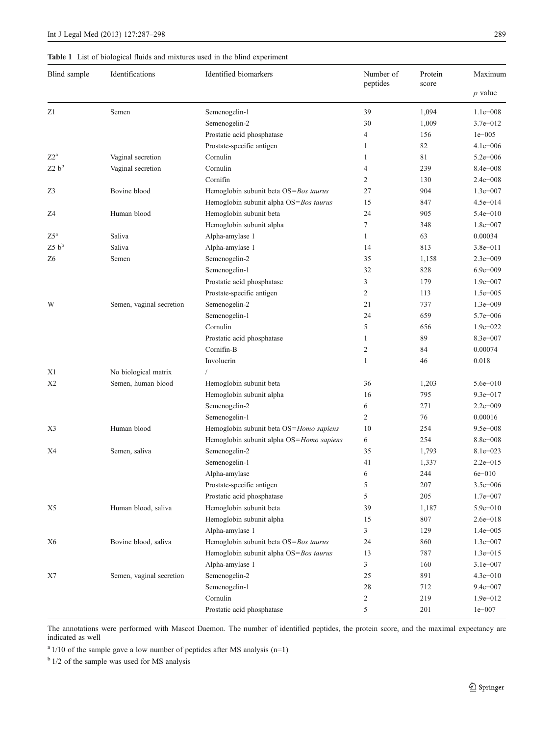<span id="page-2-0"></span>Table 1 List of biological fluids and mixtures used in the blind experiment

| Blind sample | Identifications          | Identified biomarkers                    | Number of<br>peptides | Protein<br>score | Maximum      |
|--------------|--------------------------|------------------------------------------|-----------------------|------------------|--------------|
|              |                          |                                          |                       |                  | $p$ value    |
| Z1           | Semen                    | Semenogelin-1                            | 39                    | 1,094            | $1.1e - 008$ |
|              |                          | Semenogelin-2                            | 30                    | 1,009            | $3.7e - 012$ |
|              |                          | Prostatic acid phosphatase               | $\overline{4}$        | 156              | $1e - 005$   |
|              |                          | Prostate-specific antigen                | $\mathbf{1}$          | 82               | $4.1e - 006$ |
| $Z2^a$       | Vaginal secretion        | Cornulin                                 | $\mathbf{1}$          | 81               | $5.2e - 006$ |
| $Z2 b^b$     | Vaginal secretion        | Cornulin                                 | $\overline{4}$        | 239              | 8.4e-008     |
|              |                          | Cornifin                                 | $\overline{c}$        | 130              | $2.4e - 008$ |
| Z3           | Bovine blood             | Hemoglobin subunit beta OS=Bos taurus    | 27                    | 904              | $1.3e - 007$ |
|              |                          | Hemoglobin subunit alpha OS=Bos taurus   | 15                    | 847              | $4.5e - 014$ |
| Z4           | Human blood              | Hemoglobin subunit beta                  | 24                    | 905              | $5.4e - 010$ |
|              |                          | Hemoglobin subunit alpha                 | $\overline{7}$        | 348              | $1.8e - 007$ |
| $Z5^a$       | Saliva                   | Alpha-amylase 1                          | $\mathbf{1}$          | 63               | 0.00034      |
| $Z5 b^b$     | Saliva                   | Alpha-amylase 1                          | 14                    | 813              | $3.8e - 011$ |
| Z6           | Semen                    | Semenogelin-2                            | 35                    | 1,158            | $2.3e - 009$ |
|              |                          | Semenogelin-1                            | 32                    | 828              | $6.9e - 009$ |
|              |                          | Prostatic acid phosphatase               | 3                     | 179              | $1.9e - 007$ |
|              |                          | Prostate-specific antigen                | $\overline{2}$        | 113              | $1.5e - 005$ |
| W            | Semen, vaginal secretion | Semenogelin-2                            | 21                    | 737              | $1.3e - 009$ |
|              |                          | Semenogelin-1                            | 24                    | 659              | $5.7e - 006$ |
|              |                          | Cornulin                                 | 5                     | 656              | $1.9e - 022$ |
|              |                          | Prostatic acid phosphatase               | $\mathbf{1}$          | 89               | $8.3e - 007$ |
|              |                          | Cornifin-B                               | $\overline{2}$        | 84               | 0.00074      |
|              |                          | Involucrin                               | $\mathbf{1}$          | 46               | 0.018        |
| X1           | No biological matrix     |                                          |                       |                  |              |
| X2           | Semen, human blood       | Hemoglobin subunit beta                  | 36                    | 1,203            | 5.6e-010     |
|              |                          | Hemoglobin subunit alpha                 | 16                    | 795              | $9.3e - 017$ |
|              |                          | Semenogelin-2                            | 6                     | 271              | $2.2e - 009$ |
|              |                          | Semenogelin-1                            | $\overline{2}$        | 76               | 0.00016      |
| X3           | Human blood              | Hemoglobin subunit beta OS=Homo sapiens  | 10                    | 254              | $9.5e - 008$ |
|              |                          | Hemoglobin subunit alpha OS=Homo sapiens | 6                     | 254              | $8.8e - 008$ |
| X4           | Semen, saliva            | Semenogelin-2                            | 35                    | 1,793            | $8.1e - 023$ |
|              |                          | Semenogelin-1                            | 41                    | 1,337            | $2.2e - 015$ |
|              |                          | Alpha-amylase                            | 6                     | 244              | $6e - 010$   |
|              |                          | Prostate-specific antigen                | 5                     | 207              | $3.5e - 006$ |
|              |                          | Prostatic acid phosphatase               | 5                     | 205              | $1.7e - 007$ |

Hemoglobin subunit alpha 15 807 2.6e−018 Alpha-amylase 1 3 129 1.4e−005

Hemoglobin subunit alpha OS=*Bos taurus* 13 787 1.3e−015<br>Alpha-amylase 1 3 160 3.1e−007

Semenogelin-1 28 712 9.4e−007 Cornulin 2 219 1.9e−012 Prostatic acid phosphatase 5 201 1e−007

The annotations were performed with Mascot Daemon. The number of identified peptides, the protein score, and the maximal expectancy are indicated as well

X5 Human blood, saliva Hemoglobin subunit beta 39 1,187 5.9e−010

X6 Bovine blood, saliva Hemoglobin subunit beta OS=*Bos taurus* 24 860 1.3e−007<br>Hemoglobin subunit alpha OS=*Bos taurus* 13 787 1.3e−015

X7 Semen, vaginal secretion Semenogelin-2 25 891 4.3e−010

Alpha-amylase 1

 $a$  1/10 of the sample gave a low number of peptides after MS analysis (n=1)

 $b$  1/2 of the sample was used for MS analysis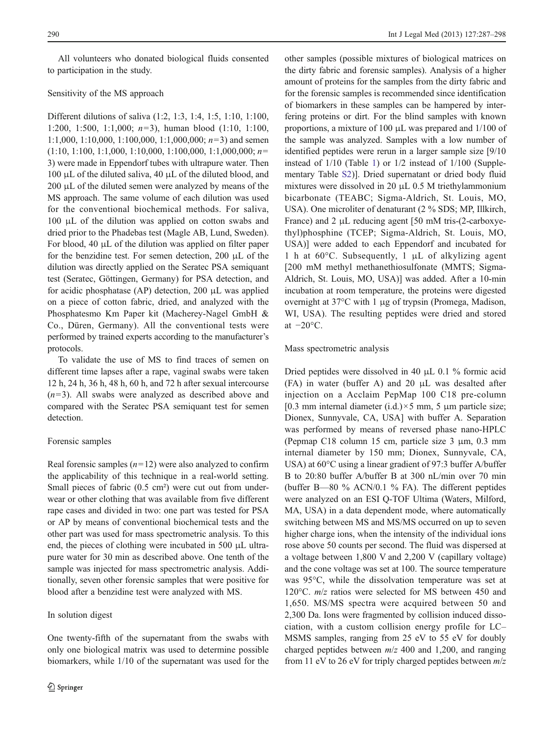All volunteers who donated biological fluids consented to participation in the study.

## Sensitivity of the MS approach

Different dilutions of saliva (1:2, 1:3, 1:4, 1:5, 1:10, 1:100, 1:200, 1:500, 1:1,000;  $n=3$ ), human blood (1:10, 1:100, 1:1,000, 1:10,000, 1:100,000, 1:1,000,000;  $n=3$ ) and semen  $(1:10, 1:100, 1:1,000, 1:10,000, 1:100,000, 1:1,000,000; n=$ 3) were made in Eppendorf tubes with ultrapure water. Then 100 μL of the diluted saliva, 40 μL of the diluted blood, and 200 μL of the diluted semen were analyzed by means of the MS approach. The same volume of each dilution was used for the conventional biochemical methods. For saliva, 100 μL of the dilution was applied on cotton swabs and dried prior to the Phadebas test (Magle AB, Lund, Sweden). For blood, 40 μL of the dilution was applied on filter paper for the benzidine test. For semen detection, 200 μL of the dilution was directly applied on the Seratec PSA semiquant test (Seratec, Göttingen, Germany) for PSA detection, and for acidic phosphatase (AP) detection, 200 μL was applied on a piece of cotton fabric, dried, and analyzed with the Phosphatesmo Km Paper kit (Macherey-Nagel GmbH & Co., Düren, Germany). All the conventional tests were performed by trained experts according to the manufacturer's protocols.

To validate the use of MS to find traces of semen on different time lapses after a rape, vaginal swabs were taken 12 h, 24 h, 36 h, 48 h, 60 h, and 72 h after sexual intercourse  $(n=3)$ . All swabs were analyzed as described above and compared with the Seratec PSA semiquant test for semen detection.

# Forensic samples

Real forensic samples  $(n=12)$  were also analyzed to confirm the applicability of this technique in a real-world setting. Small pieces of fabric (0.5 cm<sup>2</sup>) were cut out from underwear or other clothing that was available from five different rape cases and divided in two: one part was tested for PSA or AP by means of conventional biochemical tests and the other part was used for mass spectrometric analysis. To this end, the pieces of clothing were incubated in 500 μL ultrapure water for 30 min as described above. One tenth of the sample was injected for mass spectrometric analysis. Additionally, seven other forensic samples that were positive for blood after a benzidine test were analyzed with MS.

#### In solution digest

One twenty-fifth of the supernatant from the swabs with only one biological matrix was used to determine possible biomarkers, while 1/10 of the supernatant was used for the other samples (possible mixtures of biological matrices on the dirty fabric and forensic samples). Analysis of a higher amount of proteins for the samples from the dirty fabric and for the forensic samples is recommended since identification of biomarkers in these samples can be hampered by interfering proteins or dirt. For the blind samples with known proportions, a mixture of 100 μL was prepared and 1/100 of the sample was analyzed. Samples with a low number of identified peptides were rerun in a larger sample size [9/10 instead of 1/10 (Table [1\)](#page-2-0) or 1/2 instead of 1/100 (Supplementary Table S2)]. Dried supernatant or dried body fluid mixtures were dissolved in 20 μL 0.5 M triethylammonium bicarbonate (TEABC; Sigma-Aldrich, St. Louis, MO, USA). One microliter of denaturant (2 % SDS; MP, Illkirch, France) and 2 μL reducing agent [50 mM tris-(2-carboxyethyl)phosphine (TCEP; Sigma-Aldrich, St. Louis, MO, USA)] were added to each Eppendorf and incubated for 1 h at  $60^{\circ}$ C. Subsequently, 1  $\mu$ L of alkylizing agent [200 mM methyl methanethiosulfonate (MMTS; Sigma-Aldrich, St. Louis, MO, USA)] was added. After a 10-min incubation at room temperature, the proteins were digested overnight at 37°C with 1 μg of trypsin (Promega, Madison, WI, USA). The resulting peptides were dried and stored at  $-20$ °C.

# Mass spectrometric analysis

Dried peptides were dissolved in 40 μL 0.1 % formic acid (FA) in water (buffer A) and 20 μL was desalted after injection on a Acclaim PepMap 100 C18 pre-column [0.3 mm internal diameter (i.d.) $\times$ 5 mm, 5 µm particle size; Dionex, Sunnyvale, CA, USA] with buffer A. Separation was performed by means of reversed phase nano-HPLC (Pepmap C18 column 15 cm, particle size 3 μm, 0.3 mm internal diameter by 150 mm; Dionex, Sunnyvale, CA, USA) at 60°C using a linear gradient of 97:3 buffer A/buffer B to 20:80 buffer A/buffer B at 300 nL/min over 70 min (buffer B—80 % ACN/0.1 % FA). The different peptides were analyzed on an ESI Q-TOF Ultima (Waters, Milford, MA, USA) in a data dependent mode, where automatically switching between MS and MS/MS occurred on up to seven higher charge ions, when the intensity of the individual ions rose above 50 counts per second. The fluid was dispersed at a voltage between 1,800 V and 2,200 V (capillary voltage) and the cone voltage was set at 100. The source temperature was 95°C, while the dissolvation temperature was set at 120°C. m/z ratios were selected for MS between 450 and 1,650. MS/MS spectra were acquired between 50 and 2,300 Da. Ions were fragmented by collision induced dissociation, with a custom collision energy profile for LC– MSMS samples, ranging from 25 eV to 55 eV for doubly charged peptides between  $m/z$  400 and 1,200, and ranging from 11 eV to 26 eV for triply charged peptides between  $m/z$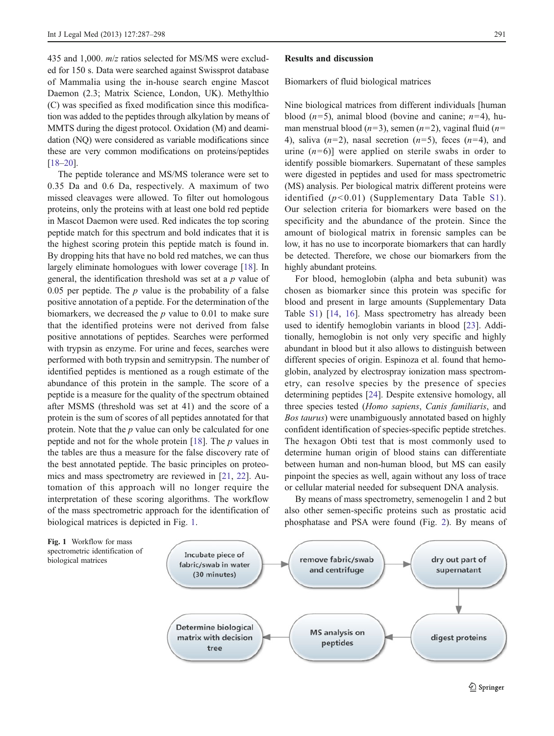435 and 1,000. m/z ratios selected for MS/MS were excluded for 150 s. Data were searched against Swissprot database of Mammalia using the in-house search engine Mascot Daemon (2.3; Matrix Science, London, UK). Methylthio (C) was specified as fixed modification since this modification was added to the peptides through alkylation by means of MMTS during the digest protocol. Oxidation (M) and deamidation (NQ) were considered as variable modifications since these are very common modifications on proteins/peptides [\[18](#page-10-0)–[20\]](#page-10-0).

The peptide tolerance and MS/MS tolerance were set to 0.35 Da and 0.6 Da, respectively. A maximum of two missed cleavages were allowed. To filter out homologous proteins, only the proteins with at least one bold red peptide in Mascot Daemon were used. Red indicates the top scoring peptide match for this spectrum and bold indicates that it is the highest scoring protein this peptide match is found in. By dropping hits that have no bold red matches, we can thus largely eliminate homologues with lower coverage [[18\]](#page-10-0). In general, the identification threshold was set at a  $p$  value of 0.05 per peptide. The  $p$  value is the probability of a false positive annotation of a peptide. For the determination of the biomarkers, we decreased the  $p$  value to 0.01 to make sure that the identified proteins were not derived from false positive annotations of peptides. Searches were performed with trypsin as enzyme. For urine and feces, searches were performed with both trypsin and semitrypsin. The number of identified peptides is mentioned as a rough estimate of the abundance of this protein in the sample. The score of a peptide is a measure for the quality of the spectrum obtained after MSMS (threshold was set at 41) and the score of a protein is the sum of scores of all peptides annotated for that protein. Note that the  $p$  value can only be calculated for one peptide and not for the whole protein [[18\]](#page-10-0). The p values in the tables are thus a measure for the false discovery rate of the best annotated peptide. The basic principles on proteomics and mass spectrometry are reviewed in [[21,](#page-10-0) [22\]](#page-10-0). Automation of this approach will no longer require the interpretation of these scoring algorithms. The workflow of the mass spectrometric approach for the identification of biological matrices is depicted in Fig. 1.

#### Results and discussion

Biomarkers of fluid biological matrices

Nine biological matrices from different individuals [human blood ( $n=5$ ), animal blood (bovine and canine;  $n=4$ ), human menstrual blood ( $n=3$ ), semen ( $n=2$ ), vaginal fluid ( $n=$ 4), saliva  $(n=2)$ , nasal secretion  $(n=5)$ , feces  $(n=4)$ , and urine  $(n=6)$ ] were applied on sterile swabs in order to identify possible biomarkers. Supernatant of these samples were digested in peptides and used for mass spectrometric (MS) analysis. Per biological matrix different proteins were identified  $(p<0.01)$  (Supplementary Data Table S1). Our selection criteria for biomarkers were based on the specificity and the abundance of the protein. Since the amount of biological matrix in forensic samples can be low, it has no use to incorporate biomarkers that can hardly be detected. Therefore, we chose our biomarkers from the highly abundant proteins.

For blood, hemoglobin (alpha and beta subunit) was chosen as biomarker since this protein was specific for blood and present in large amounts (Supplementary Data Table S1) [\[14](#page-10-0), [16](#page-10-0)]. Mass spectrometry has already been used to identify hemoglobin variants in blood [[23\]](#page-10-0). Additionally, hemoglobin is not only very specific and highly abundant in blood but it also allows to distinguish between different species of origin. Espinoza et al. found that hemoglobin, analyzed by electrospray ionization mass spectrometry, can resolve species by the presence of species determining peptides [\[24](#page-10-0)]. Despite extensive homology, all three species tested (Homo sapiens, Canis familiaris, and Bos taurus) were unambiguously annotated based on highly confident identification of species-specific peptide stretches. The hexagon Obti test that is most commonly used to determine human origin of blood stains can differentiate between human and non-human blood, but MS can easily pinpoint the species as well, again without any loss of trace or cellular material needed for subsequent DNA analysis.

By means of mass spectrometry, semenogelin 1 and 2 but also other semen-specific proteins such as prostatic acid phosphatase and PSA were found (Fig. [2\)](#page-5-0). By means of

Fig. 1 Workflow for mass spectrometric identification of biological matrices

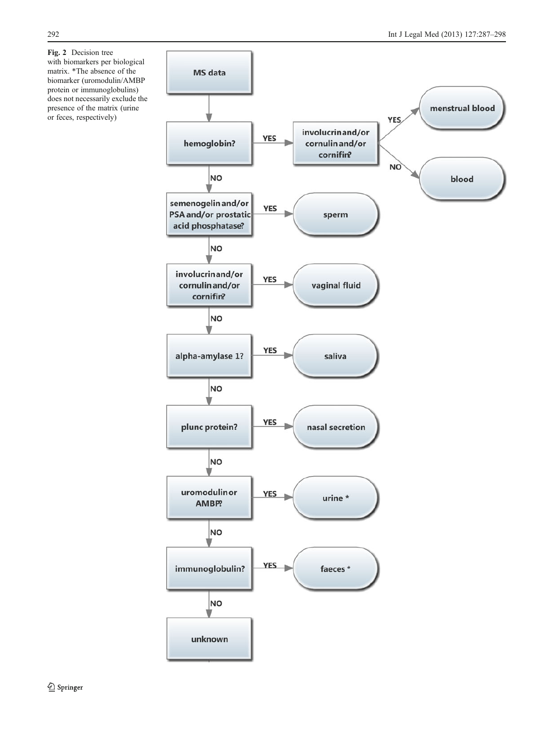<span id="page-5-0"></span>Fig. 2 Decision tree with biomarkers per biological matrix. \*The absence of the biomarker (uromodulin/AMBP protein or immunoglobulins) does not necessarily exclude the presence of the matrix (urine or feces, respectively)

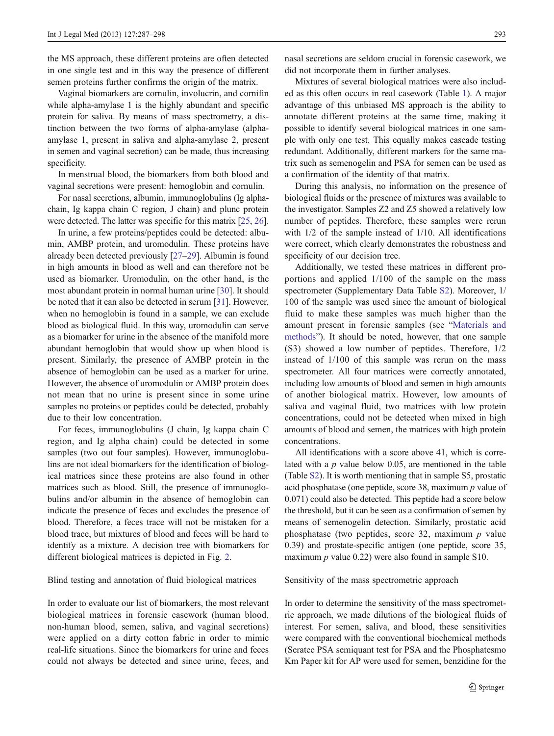the MS approach, these different proteins are often detected in one single test and in this way the presence of different semen proteins further confirms the origin of the matrix.

Vaginal biomarkers are cornulin, involucrin, and cornifin while alpha-amylase 1 is the highly abundant and specific protein for saliva. By means of mass spectrometry, a distinction between the two forms of alpha-amylase (alphaamylase 1, present in saliva and alpha-amylase 2, present in semen and vaginal secretion) can be made, thus increasing specificity.

In menstrual blood, the biomarkers from both blood and vaginal secretions were present: hemoglobin and cornulin.

For nasal secretions, albumin, immunoglobulins (Ig alphachain, Ig kappa chain C region, J chain) and plunc protein were detected. The latter was specific for this matrix [\[25,](#page-10-0) [26\]](#page-10-0).

In urine, a few proteins/peptides could be detected: albumin, AMBP protein, and uromodulin. These proteins have already been detected previously [\[27](#page-10-0)–[29](#page-10-0)]. Albumin is found in high amounts in blood as well and can therefore not be used as biomarker. Uromodulin, on the other hand, is the most abundant protein in normal human urine [[30\]](#page-10-0). It should be noted that it can also be detected in serum [[31\]](#page-10-0). However, when no hemoglobin is found in a sample, we can exclude blood as biological fluid. In this way, uromodulin can serve as a biomarker for urine in the absence of the manifold more abundant hemoglobin that would show up when blood is present. Similarly, the presence of AMBP protein in the absence of hemoglobin can be used as a marker for urine. However, the absence of uromodulin or AMBP protein does not mean that no urine is present since in some urine samples no proteins or peptides could be detected, probably due to their low concentration.

For feces, immunoglobulins (J chain, Ig kappa chain C region, and Ig alpha chain) could be detected in some samples (two out four samples). However, immunoglobulins are not ideal biomarkers for the identification of biological matrices since these proteins are also found in other matrices such as blood. Still, the presence of immunoglobulins and/or albumin in the absence of hemoglobin can indicate the presence of feces and excludes the presence of blood. Therefore, a feces trace will not be mistaken for a blood trace, but mixtures of blood and feces will be hard to identify as a mixture. A decision tree with biomarkers for different biological matrices is depicted in Fig. [2.](#page-5-0)

## Blind testing and annotation of fluid biological matrices

In order to evaluate our list of biomarkers, the most relevant biological matrices in forensic casework (human blood, non-human blood, semen, saliva, and vaginal secretions) were applied on a dirty cotton fabric in order to mimic real-life situations. Since the biomarkers for urine and feces could not always be detected and since urine, feces, and nasal secretions are seldom crucial in forensic casework, we did not incorporate them in further analyses.

Mixtures of several biological matrices were also included as this often occurs in real casework (Table [1](#page-2-0)). A major advantage of this unbiased MS approach is the ability to annotate different proteins at the same time, making it possible to identify several biological matrices in one sample with only one test. This equally makes cascade testing redundant. Additionally, different markers for the same matrix such as semenogelin and PSA for semen can be used as a confirmation of the identity of that matrix.

During this analysis, no information on the presence of biological fluids or the presence of mixtures was available to the investigator. Samples Z2 and Z5 showed a relatively low number of peptides. Therefore, these samples were rerun with 1/2 of the sample instead of 1/10. All identifications were correct, which clearly demonstrates the robustness and specificity of our decision tree.

Additionally, we tested these matrices in different proportions and applied 1/100 of the sample on the mass spectrometer (Supplementary Data Table S2). Moreover, 1/ 100 of the sample was used since the amount of biological fluid to make these samples was much higher than the amount present in forensic samples (see "[Materials and](#page-1-0) [methods](#page-1-0)"). It should be noted, however, that one sample (S3) showed a low number of peptides. Therefore, 1/2 instead of 1/100 of this sample was rerun on the mass spectrometer. All four matrices were correctly annotated, including low amounts of blood and semen in high amounts of another biological matrix. However, low amounts of saliva and vaginal fluid, two matrices with low protein concentrations, could not be detected when mixed in high amounts of blood and semen, the matrices with high protein concentrations.

All identifications with a score above 41, which is correlated with a  $p$  value below 0.05, are mentioned in the table (Table S2). It is worth mentioning that in sample S5, prostatic acid phosphatase (one peptide, score 38, maximum  $p$  value of 0.071) could also be detected. This peptide had a score below the threshold, but it can be seen as a confirmation of semen by means of semenogelin detection. Similarly, prostatic acid phosphatase (two peptides, score 32, maximum  $p$  value 0.39) and prostate-specific antigen (one peptide, score 35, maximum  $p$  value 0.22) were also found in sample S10.

#### Sensitivity of the mass spectrometric approach

In order to determine the sensitivity of the mass spectrometric approach, we made dilutions of the biological fluids of interest. For semen, saliva, and blood, these sensitivities were compared with the conventional biochemical methods (Seratec PSA semiquant test for PSA and the Phosphatesmo Km Paper kit for AP were used for semen, benzidine for the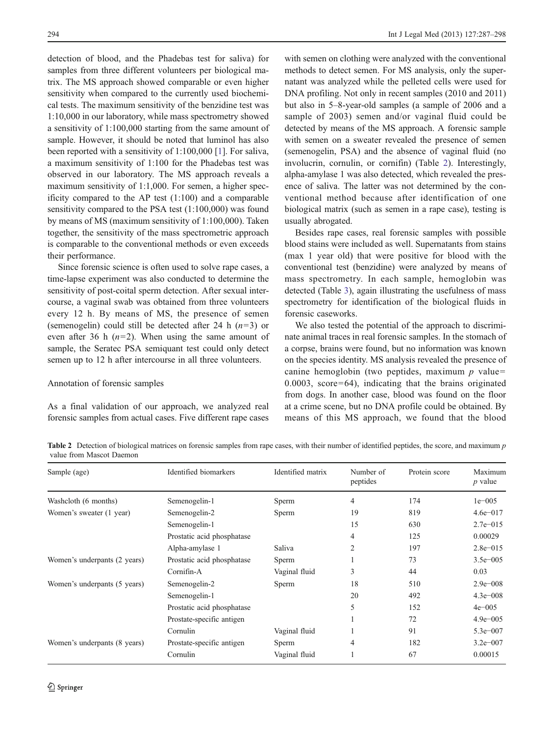detection of blood, and the Phadebas test for saliva) for samples from three different volunteers per biological matrix. The MS approach showed comparable or even higher sensitivity when compared to the currently used biochemical tests. The maximum sensitivity of the benzidine test was 1:10,000 in our laboratory, while mass spectrometry showed a sensitivity of 1:100,000 starting from the same amount of sample. However, it should be noted that luminol has also been reported with a sensitivity of 1:100,000 [\[1](#page-9-0)]. For saliva, a maximum sensitivity of 1:100 for the Phadebas test was observed in our laboratory. The MS approach reveals a maximum sensitivity of 1:1,000. For semen, a higher specificity compared to the AP test (1:100) and a comparable sensitivity compared to the PSA test (1:100,000) was found by means of MS (maximum sensitivity of 1:100,000). Taken together, the sensitivity of the mass spectrometric approach is comparable to the conventional methods or even exceeds their performance.

Since forensic science is often used to solve rape cases, a time-lapse experiment was also conducted to determine the sensitivity of post-coital sperm detection. After sexual intercourse, a vaginal swab was obtained from three volunteers every 12 h. By means of MS, the presence of semen (semenogelin) could still be detected after 24 h  $(n=3)$  or even after 36 h  $(n=2)$ . When using the same amount of sample, the Seratec PSA semiquant test could only detect semen up to 12 h after intercourse in all three volunteers.

#### Annotation of forensic samples

As a final validation of our approach, we analyzed real forensic samples from actual cases. Five different rape cases

with semen on clothing were analyzed with the conventional methods to detect semen. For MS analysis, only the supernatant was analyzed while the pelleted cells were used for DNA profiling. Not only in recent samples (2010 and 2011) but also in 5–8-year-old samples (a sample of 2006 and a sample of 2003) semen and/or vaginal fluid could be detected by means of the MS approach. A forensic sample with semen on a sweater revealed the presence of semen (semenogelin, PSA) and the absence of vaginal fluid (no involucrin, cornulin, or cornifin) (Table 2). Interestingly, alpha-amylase 1 was also detected, which revealed the presence of saliva. The latter was not determined by the conventional method because after identification of one biological matrix (such as semen in a rape case), testing is usually abrogated.

Besides rape cases, real forensic samples with possible blood stains were included as well. Supernatants from stains (max 1 year old) that were positive for blood with the conventional test (benzidine) were analyzed by means of mass spectrometry. In each sample, hemoglobin was detected (Table [3](#page-8-0)), again illustrating the usefulness of mass spectrometry for identification of the biological fluids in forensic caseworks.

We also tested the potential of the approach to discriminate animal traces in real forensic samples. In the stomach of a corpse, brains were found, but no information was known on the species identity. MS analysis revealed the presence of canine hemoglobin (two peptides, maximum  $p$  value=  $0.0003$ , score=64), indicating that the brains originated from dogs. In another case, blood was found on the floor at a crime scene, but no DNA profile could be obtained. By means of this MS approach, we found that the blood

**Table 2** Detection of biological matrices on forensic samples from rape cases, with their number of identified peptides, the score, and maximum  $p$ value from Mascot Daemon

| Sample (age)                 | Identified biomarkers      | Identified matrix | Number of<br>peptides | Protein score | Maximum<br>$p$ value |
|------------------------------|----------------------------|-------------------|-----------------------|---------------|----------------------|
| Washcloth (6 months)         | Semenogelin-1              | Sperm             | 4                     | 174           | $1e - 005$           |
| Women's sweater (1 year)     | Semenogelin-2              | Sperm             | 19                    | 819           | $4.6e - 017$         |
|                              | Semenogelin-1              |                   | 15                    | 630           | $2.7e - 015$         |
|                              | Prostatic acid phosphatase |                   | 4                     | 125           | 0.00029              |
|                              | Alpha-amylase 1            | Saliva            | 2                     | 197           | $2.8e - 015$         |
| Women's underpants (2 years) | Prostatic acid phosphatase | Sperm             |                       | 73            | $3.5e - 005$         |
|                              | Cornifin-A                 | Vaginal fluid     | 3                     | 44            | 0.03                 |
| Women's underpants (5 years) | Semenogelin-2              | Sperm             | 18                    | 510           | $2.9e - 008$         |
|                              | Semenogelin-1              |                   | 20                    | 492           | $4.3e - 008$         |
|                              | Prostatic acid phosphatase |                   | 5                     | 152           | $4e - 005$           |
|                              | Prostate-specific antigen  |                   |                       | 72            | $4.9e - 005$         |
|                              | Cornulin                   | Vaginal fluid     |                       | 91            | $5.3e - 007$         |
| Women's underpants (8 years) | Prostate-specific antigen  | Sperm             | 4                     | 182           | $3.2e - 007$         |
|                              | Cornulin                   | Vaginal fluid     |                       | 67            | 0.00015              |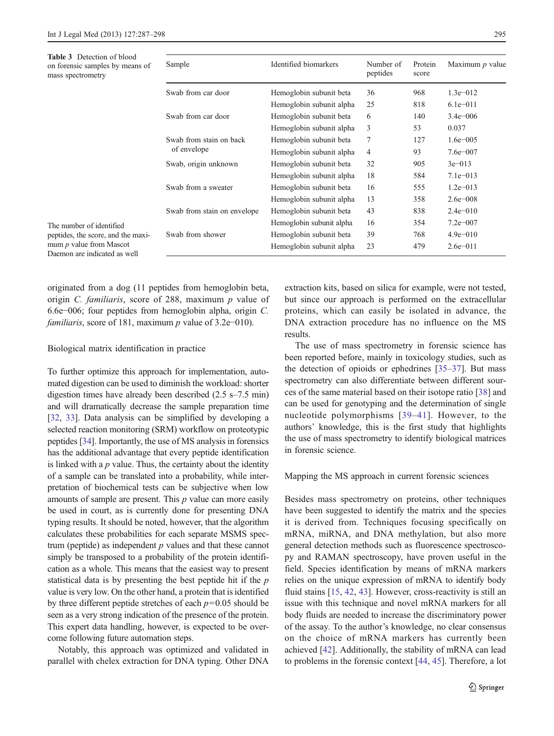<span id="page-8-0"></span>

| <b>Table 3</b> Detection of blood<br>on forensic samples by means of<br>mass spectrometry | Sample                                 | Identified biomarkers    | Number of<br>peptides | Protein<br>score | Maximum $p$ value |
|-------------------------------------------------------------------------------------------|----------------------------------------|--------------------------|-----------------------|------------------|-------------------|
|                                                                                           | Swab from car door                     | Hemoglobin subunit beta  | 36                    | 968              | $1.3e-012$        |
|                                                                                           |                                        | Hemoglobin subunit alpha | 25                    | 818              | $6.1e-011$        |
|                                                                                           | Swab from car door                     | Hemoglobin subunit beta  | 6                     | 140              | $3.4e - 006$      |
|                                                                                           |                                        | Hemoglobin subunit alpha | 3                     | 53               | 0.037             |
|                                                                                           | Swab from stain on back<br>of envelope | Hemoglobin subunit beta  | 7                     | 127              | $1.6e - 005$      |
|                                                                                           |                                        | Hemoglobin subunit alpha | 4                     | 93               | $7.6e - 007$      |
|                                                                                           | Swab, origin unknown                   | Hemoglobin subunit beta  | 32                    | 905              | $3e - 013$        |
|                                                                                           |                                        | Hemoglobin subunit alpha | 18                    | 584              | $7.1e-013$        |
|                                                                                           | Swab from a sweater                    | Hemoglobin subunit beta  | 16                    | 555              | $1.2e - 013$      |
|                                                                                           |                                        | Hemoglobin subunit alpha | 13                    | 358              | $2.6e - 008$      |
|                                                                                           | Swab from stain on envelope            | Hemoglobin subunit beta  | 43                    | 838              | $2.4e - 010$      |
| The number of identified                                                                  |                                        | Hemoglobin subunit alpha | 16                    | 354              | $7.2e - 007$      |
| peptides, the score, and the maxi-                                                        | Swab from shower                       | Hemoglobin subunit beta  | 39                    | 768              | $4.9e - 010$      |
| mum $p$ value from Mascot<br>Daemon are indicated as well                                 |                                        | Hemoglobin subunit alpha | 23                    | 479              | $2.6e - 011$      |

originated from a dog (11 peptides from hemoglobin beta, origin C. familiaris, score of 288, maximum  $p$  value of 6.6e−006; four peptides from hemoglobin alpha, origin C. *familiaris*, score of 181, maximum *p* value of 3.2e–010).

# Biological matrix identification in practice

To further optimize this approach for implementation, automated digestion can be used to diminish the workload: shorter digestion times have already been described (2.5 s–7.5 min) and will dramatically decrease the sample preparation time [\[32](#page-10-0), [33\]](#page-10-0). Data analysis can be simplified by developing a selected reaction monitoring (SRM) workflow on proteotypic peptides [[34](#page-10-0)]. Importantly, the use of MS analysis in forensics has the additional advantage that every peptide identification is linked with a  $p$  value. Thus, the certainty about the identity of a sample can be translated into a probability, while interpretation of biochemical tests can be subjective when low amounts of sample are present. This  $p$  value can more easily be used in court, as is currently done for presenting DNA typing results. It should be noted, however, that the algorithm calculates these probabilities for each separate MSMS spectrum (peptide) as independent  $p$  values and that these cannot simply be transposed to a probability of the protein identification as a whole. This means that the easiest way to present statistical data is by presenting the best peptide hit if the  $p$ value is very low. On the other hand, a protein that is identified by three different peptide stretches of each  $p=0.05$  should be seen as a very strong indication of the presence of the protein. This expert data handling, however, is expected to be overcome following future automation steps.

Notably, this approach was optimized and validated in parallel with chelex extraction for DNA typing. Other DNA extraction kits, based on silica for example, were not tested, but since our approach is performed on the extracellular proteins, which can easily be isolated in advance, the DNA extraction procedure has no influence on the MS results.

The use of mass spectrometry in forensic science has been reported before, mainly in toxicology studies, such as the detection of opioids or ephedrines [\[35](#page-10-0)–[37](#page-10-0)]. But mass spectrometry can also differentiate between different sources of the same material based on their isotope ratio [\[38](#page-10-0)] and can be used for genotyping and the determination of single nucleotide polymorphisms [[39](#page-11-0)–[41](#page-11-0)]. However, to the authors' knowledge, this is the first study that highlights the use of mass spectrometry to identify biological matrices in forensic science.

## Mapping the MS approach in current forensic sciences

Besides mass spectrometry on proteins, other techniques have been suggested to identify the matrix and the species it is derived from. Techniques focusing specifically on mRNA, miRNA, and DNA methylation, but also more general detection methods such as fluorescence spectroscopy and RAMAN spectroscopy, have proven useful in the field. Species identification by means of mRNA markers relies on the unique expression of mRNA to identify body fluid stains [[15,](#page-10-0) [42,](#page-11-0) [43\]](#page-11-0). However, cross-reactivity is still an issue with this technique and novel mRNA markers for all body fluids are needed to increase the discriminatory power of the assay. To the author's knowledge, no clear consensus on the choice of mRNA markers has currently been achieved [\[42](#page-11-0)]. Additionally, the stability of mRNA can lead to problems in the forensic context [[44,](#page-11-0) [45\]](#page-11-0). Therefore, a lot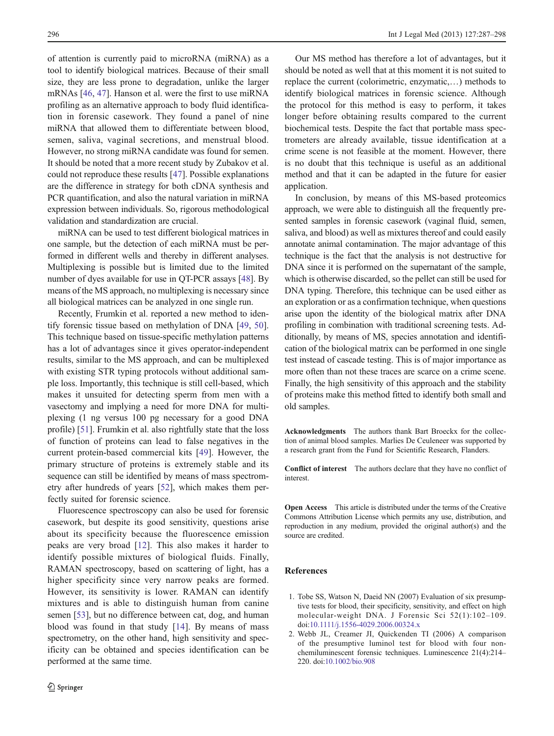<span id="page-9-0"></span>of attention is currently paid to microRNA (miRNA) as a tool to identify biological matrices. Because of their small size, they are less prone to degradation, unlike the larger mRNAs [\[46](#page-11-0), [47](#page-11-0)]. Hanson et al. were the first to use miRNA profiling as an alternative approach to body fluid identification in forensic casework. They found a panel of nine miRNA that allowed them to differentiate between blood, semen, saliva, vaginal secretions, and menstrual blood. However, no strong miRNA candidate was found for semen. It should be noted that a more recent study by Zubakov et al. could not reproduce these results [[47\]](#page-11-0). Possible explanations are the difference in strategy for both cDNA synthesis and PCR quantification, and also the natural variation in miRNA expression between individuals. So, rigorous methodological validation and standardization are crucial.

miRNA can be used to test different biological matrices in one sample, but the detection of each miRNA must be performed in different wells and thereby in different analyses. Multiplexing is possible but is limited due to the limited number of dyes available for use in QT-PCR assays [\[48](#page-11-0)]. By means of the MS approach, no multiplexing is necessary since all biological matrices can be analyzed in one single run.

Recently, Frumkin et al. reported a new method to identify forensic tissue based on methylation of DNA [[49,](#page-11-0) [50](#page-11-0)]. This technique based on tissue-specific methylation patterns has a lot of advantages since it gives operator-independent results, similar to the MS approach, and can be multiplexed with existing STR typing protocols without additional sample loss. Importantly, this technique is still cell-based, which makes it unsuited for detecting sperm from men with a vasectomy and implying a need for more DNA for multiplexing (1 ng versus 100 pg necessary for a good DNA profile) [\[51](#page-11-0)]. Frumkin et al. also rightfully state that the loss of function of proteins can lead to false negatives in the current protein-based commercial kits [\[49](#page-11-0)]. However, the primary structure of proteins is extremely stable and its sequence can still be identified by means of mass spectrometry after hundreds of years [[52\]](#page-11-0), which makes them perfectly suited for forensic science.

Fluorescence spectroscopy can also be used for forensic casework, but despite its good sensitivity, questions arise about its specificity because the fluorescence emission peaks are very broad [[12\]](#page-10-0). This also makes it harder to identify possible mixtures of biological fluids. Finally, RAMAN spectroscopy, based on scattering of light, has a higher specificity since very narrow peaks are formed. However, its sensitivity is lower. RAMAN can identify mixtures and is able to distinguish human from canine semen [\[53](#page-11-0)], but no difference between cat, dog, and human blood was found in that study [[14](#page-10-0)]. By means of mass spectrometry, on the other hand, high sensitivity and specificity can be obtained and species identification can be performed at the same time.

Our MS method has therefore a lot of advantages, but it should be noted as well that at this moment it is not suited to replace the current (colorimetric, enzymatic,…) methods to identify biological matrices in forensic science. Although the protocol for this method is easy to perform, it takes longer before obtaining results compared to the current biochemical tests. Despite the fact that portable mass spectrometers are already available, tissue identification at a crime scene is not feasible at the moment. However, there is no doubt that this technique is useful as an additional method and that it can be adapted in the future for easier application.

In conclusion, by means of this MS-based proteomics approach, we were able to distinguish all the frequently presented samples in forensic casework (vaginal fluid, semen, saliva, and blood) as well as mixtures thereof and could easily annotate animal contamination. The major advantage of this technique is the fact that the analysis is not destructive for DNA since it is performed on the supernatant of the sample, which is otherwise discarded, so the pellet can still be used for DNA typing. Therefore, this technique can be used either as an exploration or as a confirmation technique, when questions arise upon the identity of the biological matrix after DNA profiling in combination with traditional screening tests. Additionally, by means of MS, species annotation and identification of the biological matrix can be performed in one single test instead of cascade testing. This is of major importance as more often than not these traces are scarce on a crime scene. Finally, the high sensitivity of this approach and the stability of proteins make this method fitted to identify both small and old samples.

Acknowledgments The authors thank Bart Broeckx for the collection of animal blood samples. Marlies De Ceuleneer was supported by a research grant from the Fund for Scientific Research, Flanders.

Conflict of interest The authors declare that they have no conflict of interest.

Open Access This article is distributed under the terms of the Creative Commons Attribution License which permits any use, distribution, and reproduction in any medium, provided the original author(s) and the source are credited.

#### References

- 1. Tobe SS, Watson N, Daeid NN (2007) Evaluation of six presumptive tests for blood, their specificity, sensitivity, and effect on high molecular-weight DNA. J Forensic Sci 52(1):102–109. doi[:10.1111/j.1556-4029.2006.00324.x](http://dx.doi.org/10.1111/j.1556-4029.2006.00324.x)
- 2. Webb JL, Creamer JI, Quickenden TI (2006) A comparison of the presumptive luminol test for blood with four nonchemiluminescent forensic techniques. Luminescence 21(4):214– 220. doi:[10.1002/bio.908](http://dx.doi.org/10.1002/bio.908)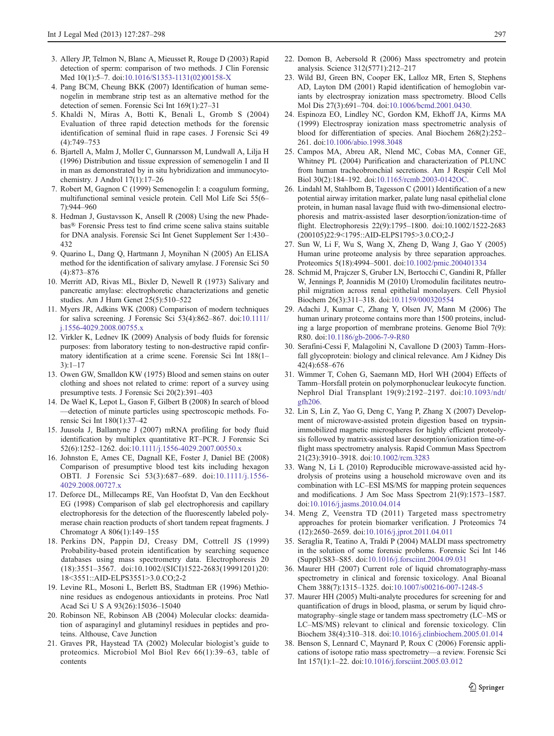- <span id="page-10-0"></span>3. Allery JP, Telmon N, Blanc A, Mieusset R, Rouge D (2003) Rapid detection of sperm: comparison of two methods. J Clin Forensic Med 10(1):5–7. doi:[10.1016/S1353-1131\(02\)00158-X](http://dx.doi.org/10.1016/S1353-1131(02)00158-X)
- 4. Pang BCM, Cheung BKK (2007) Identification of human semenogelin in membrane strip test as an alternative method for the detection of semen. Forensic Sci Int 169(1):27–31
- 5. Khaldi N, Miras A, Botti K, Benali L, Gromb S (2004) Evaluation of three rapid detection methods for the forensic identification of seminal fluid in rape cases. J Forensic Sci 49 (4):749–753
- 6. Bjartell A, Malm J, Moller C, Gunnarsson M, Lundwall A, Lilja H (1996) Distribution and tissue expression of semenogelin I and II in man as demonstrated by in situ hybridization and immunocytochemistry. J Androl 17(1):17–26
- 7. Robert M, Gagnon C (1999) Semenogelin I: a coagulum forming, multifunctional seminal vesicle protein. Cell Mol Life Sci 55(6– 7):944–960
- 8. Hedman J, Gustavsson K, Ansell R (2008) Using the new Phadebas® Forensic Press test to find crime scene saliva stains suitable for DNA analysis. Forensic Sci Int Genet Supplement Ser 1:430– 432
- 9. Quarino L, Dang Q, Hartmann J, Moynihan N (2005) An ELISA method for the identification of salivary amylase. J Forensic Sci 50 (4):873–876
- 10. Merritt AD, Rivas ML, Bixler D, Newell R (1973) Salivary and pancreatic amylase: electrophoretic characterizations and genetic studies. Am J Hum Genet 25(5):510–522
- 11. Myers JR, Adkins WK (2008) Comparison of modern techniques for saliva screening. J Forensic Sci 53(4):862–867. doi[:10.1111/](http://dx.doi.org/10.1111/j.1556-4029.2008.00755.x) [j.1556-4029.2008.00755.x](http://dx.doi.org/10.1111/j.1556-4029.2008.00755.x)
- 12. Virkler K, Lednev IK (2009) Analysis of body fluids for forensic purposes: from laboratory testing to non-destructive rapid confirmatory identification at a crime scene. Forensic Sci Int 188(1– 3):1–17
- 13. Owen GW, Smalldon KW (1975) Blood and semen stains on outer clothing and shoes not related to crime: report of a survey using presumptive tests. J Forensic Sci 20(2):391–403
- 14. De Wael K, Lepot L, Gason F, Gilbert B (2008) In search of blood —detection of minute particles using spectroscopic methods. Forensic Sci Int 180(1):37–42
- 15. Juusola J, Ballantyne J (2007) mRNA profiling for body fluid identification by multiplex quantitative RT–PCR. J Forensic Sci 52(6):1252–1262. doi[:10.1111/j.1556-4029.2007.00550.x](http://dx.doi.org/10.1111/j.1556-4029.2007.00550.x)
- 16. Johnston E, Ames CE, Dagnall KE, Foster J, Daniel BE (2008) Comparison of presumptive blood test kits including hexagon OBTI. J Forensic Sci 53(3):687–689. doi:[10.1111/j.1556-](http://dx.doi.org/10.1111/j.1556-4029.2008.00727.x) [4029.2008.00727.x](http://dx.doi.org/10.1111/j.1556-4029.2008.00727.x)
- 17. Deforce DL, Millecamps RE, Van Hoofstat D, Van den Eeckhout EG (1998) Comparison of slab gel electrophoresis and capillary electrophoresis for the detection of the fluorescently labeled polymerase chain reaction products of short tandem repeat fragments. J Chromatogr A 806(1):149–155
- 18. Perkins DN, Pappin DJ, Creasy DM, Cottrell JS (1999) Probability-based protein identification by searching sequence databases using mass spectrometry data. Electrophoresis 20 (18):3551–3567. doi:10.1002/(SICI)1522-2683(19991201)20: 18<3551::AID-ELPS3551>3.0.CO;2-2
- 19. Levine RL, Mosoni L, Berlett BS, Stadtman ER (1996) Methionine residues as endogenous antioxidants in proteins. Proc Natl Acad Sci U S A 93(26):15036–15040
- 20. Robinson NE, Robinson AB (2004) Molecular clocks: deamidation of asparaginyl and glutaminyl residues in peptides and proteins. Althouse, Cave Junction
- 21. Graves PR, Haystead TA (2002) Molecular biologist's guide to proteomics. Microbiol Mol Biol Rev 66(1):39–63, table of contents
- 22. Domon B, Aebersold R (2006) Mass spectrometry and protein analysis. Science 312(5771):212–217
- 23. Wild BJ, Green BN, Cooper EK, Lalloz MR, Erten S, Stephens AD, Layton DM (2001) Rapid identification of hemoglobin variants by electrospray ionization mass spectrometry. Blood Cells Mol Dis 27(3):691–704. doi:[10.1006/bcmd.2001.0430.](http://dx.doi.org/10.1006/bcmd.2001.0430.)
- 24. Espinoza EO, Lindley NC, Gordon KM, Ekhoff JA, Kirms MA (1999) Electrospray ionization mass spectrometric analysis of blood for differentiation of species. Anal Biochem 268(2):252– 261. doi[:10.1006/abio.1998.3048](http://dx.doi.org/10.1006/abio.1998.3048)
- 25. Campos MA, Abreu AR, Nlend MC, Cobas MA, Conner GE, Whitney PL (2004) Purification and characterization of PLUNC from human tracheobronchial secretions. Am J Respir Cell Mol Biol 30(2):184–192. doi:[10.1165/rcmb.2003-0142OC.](http://dx.doi.org/10.1165/rcmb.2003-0142OC.)
- 26. Lindahl M, Stahlbom B, Tagesson C (2001) Identification of a new potential airway irritation marker, palate lung nasal epithelial clone protein, in human nasal lavage fluid with two-dimensional electrophoresis and matrix-assisted laser desorption/ionization-time of flight. Electrophoresis 22(9):1795–1800. doi:10.1002/1522-2683 (200105)22:9<1795::AID-ELPS1795>3.0.CO;2-J
- 27. Sun W, Li F, Wu S, Wang X, Zheng D, Wang J, Gao Y (2005) Human urine proteome analysis by three separation approaches. Proteomics 5(18):4994–5001. doi:[10.1002/pmic.200401334](http://dx.doi.org/10.1002/pmic.200401334)
- 28. Schmid M, Prajczer S, Gruber LN, Bertocchi C, Gandini R, Pfaller W, Jennings P, Joannidis M (2010) Uromodulin facilitates neutrophil migration across renal epithelial monolayers. Cell Physiol Biochem 26(3):311–318. doi:[10.1159/000320554](http://dx.doi.org/10.1159/000320554)
- 29. Adachi J, Kumar C, Zhang Y, Olsen JV, Mann M (2006) The human urinary proteome contains more than 1500 proteins, including a large proportion of membrane proteins. Genome Biol 7(9): R80. doi:[10.1186/gb-2006-7-9-R80](http://dx.doi.org/10.1186/gb-2006-7-9-R80)
- 30. Serafini-Cessi F, Malagolini N, Cavallone D (2003) Tamm–Horsfall glycoprotein: biology and clinical relevance. Am J Kidney Dis 42(4):658–676
- 31. Wimmer T, Cohen G, Saemann MD, Horl WH (2004) Effects of Tamm–Horsfall protein on polymorphonuclear leukocyte function. Nephrol Dial Transplant 19(9):2192–2197. doi[:10.1093/ndt/](http://dx.doi.org/10.1093/ndt/gfh206.) [gfh206.](http://dx.doi.org/10.1093/ndt/gfh206.)
- 32. Lin S, Lin Z, Yao G, Deng C, Yang P, Zhang X (2007) Development of microwave-assisted protein digestion based on trypsinimmobilized magnetic microspheres for highly efficient proteolysis followed by matrix-assisted laser desorption/ionization time-offlight mass spectrometry analysis. Rapid Commun Mass Spectrom 21(23):3910–3918. doi:[10.1002/rcm.3283](http://dx.doi.org/10.1002/rcm.3283)
- 33. Wang N, Li L (2010) Reproducible microwave-assisted acid hydrolysis of proteins using a household microwave oven and its combination with LC–ESI MS/MS for mapping protein sequences and modifications. J Am Soc Mass Spectrom 21(9):1573–1587. doi[:10.1016/j.jasms.2010.04.014](http://dx.doi.org/10.1016/j.jasms.2010.04.014)
- 34. Meng Z, Veenstra TD (2011) Targeted mass spectrometry approaches for protein biomarker verification. J Proteomics 74 (12):2650–2659. doi[:10.1016/j.jprot.2011.04.011](http://dx.doi.org/10.1016/j.jprot.2011.04.011)
- 35. Seraglia R, Teatino A, Traldi P (2004) MALDI mass spectrometry in the solution of some forensic problems. Forensic Sci Int 146 (Suppl):S83–S85. doi:[10.1016/j.forsciint.2004.09.031](http://dx.doi.org/10.1016/j.forsciint.2004.09.031)
- 36. Maurer HH (2007) Current role of liquid chromatography-mass spectrometry in clinical and forensic toxicology. Anal Bioanal Chem 388(7):1315–1325. doi[:10.1007/s00216-007-1248-5](http://dx.doi.org/10.1007/s00216-007-1248-5)
- 37. Maurer HH (2005) Multi-analyte procedures for screening for and quantification of drugs in blood, plasma, or serum by liquid chromatography–single stage or tandem mass spectrometry (LC–MS or LC–MS/MS) relevant to clinical and forensic toxicology. Clin Biochem 38(4):310–318. doi:[10.1016/j.clinbiochem.2005.01.014](http://dx.doi.org/10.1016/j.clinbiochem.2005.01.014)
- 38. Benson S, Lennard C, Maynard P, Roux C (2006) Forensic applications of isotope ratio mass spectrometry—a review. Forensic Sci Int 157(1):1–22. doi[:10.1016/j.forsciint.2005.03.012](http://dx.doi.org/10.1016/j.forsciint.2005.03.012)